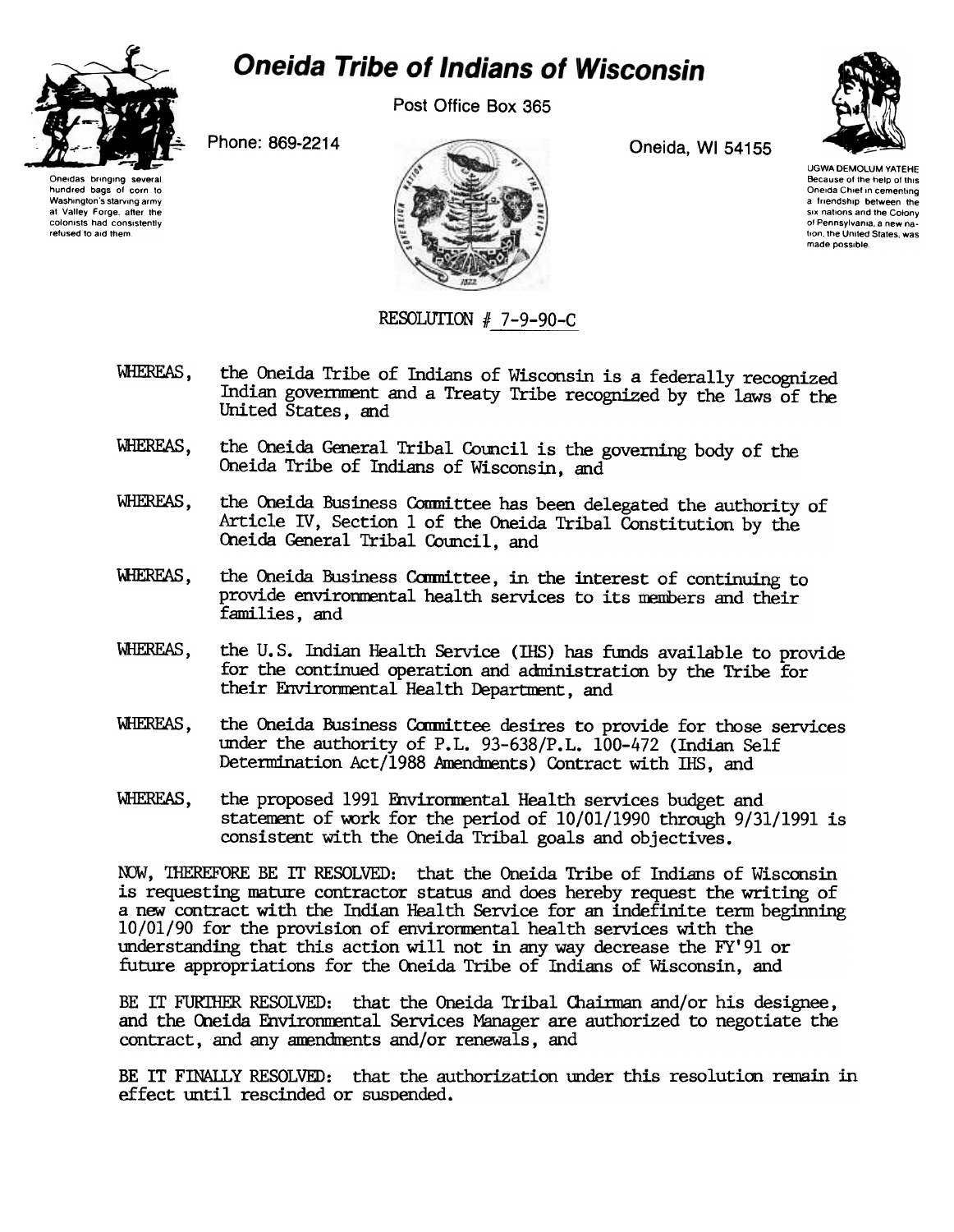

## **Oneida Tribe of Indians of Wisconsin**

Post Office Box 365



Oneidas bringing several hundred bags of corn to Washington's starving army at Valley Forge, after the colonists had consistently refused to aid them



UGWA DEMOLUM YATEHE Because of the help of this Oneida Chief in cementing a friendship between the six nations and the Colony of Pennsylvania, a new nation, the United States, was made possible.

## RESOLUTION  $# 7-9-90-C$

- WHEREAS, the Oneida Tribe of Indians of Wisconsin is a federally recognized Indian government and a Treaty Tribe recognized by the laws of the United States, and
- WHEREAS, the Oneida General Tribal Council is the governing body of the Oneida Tribe of Indians of Wisconsin, and
- WHEREAS, the Oneida Business Conmittee has been delegated the authority of Article IV, Section 1 of the Oneida Tribal Constitution by the Oneida General Tribal Council, and
- WHEREAS, the Oneida Business Committee, in the interest of continuing to provide environmental health services to its members and their families, and
- WHEREAS, the U. S. Indian Health Service (lliS) has funds available to provide for the continued operation and administration by the Tribe for their Environmental Health Department, and
- WHEREAS, the Oneida Business Committee desires to provide for those services under the authority of P.L. 93-638/P.L. 100-472 (Indian Self Determination Act/1988 Amendments) Contract with IHS, and
- WHEREAS, the proposed 1991 Fnviromental Health services budget and statement of work for the period of 10/01/1990 through 9/31/1991 is consistent with the Oneida Tribal goals and objectives.

NOW, THEREFORE BE IT RESOLVED: that the Oneida Tribe of Indians of Wisconsin is requesting mature contractor status and does hereby request the writing of a new contract with the Indian Health Service for an indefinite term beginning 10/01/90 for the provision of enviromental health services with the understanding that this action will not in any way decrease the FY'91 or future appropriations for the Oneida Tribe of Indians of Wisconsin, and

BE IT FURTHER RESOLVED: that the Oneida Tribal Chairman and/or his designee, and the Oneida Environmental Services Manager are authorized to negotiate the contract, and any amendments and/or renewals, and

BE IT FINALLY RESOLVED: that the authorization under this resolution remain in effect until rescinded or suspended.